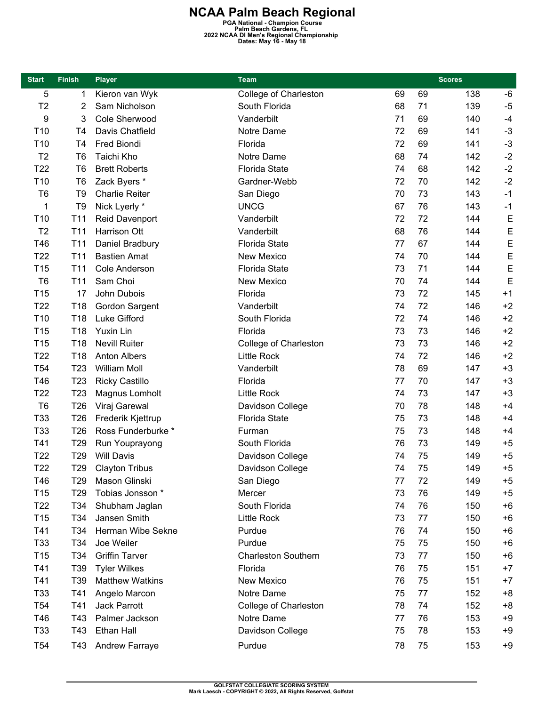**NCAA Palm Beach Regional PGA National - Champion Course Palm Beach Gardens, FL 2022 NCAA DI Men's Regional Championship Dates: May 16 - May 18** 

| <b>Start</b>    | <b>Finish</b>   | <b>Player</b>          | <b>Team</b>                |    |    | <b>Scores</b> |      |
|-----------------|-----------------|------------------------|----------------------------|----|----|---------------|------|
| 5               | 1               | Kieron van Wyk         | College of Charleston      | 69 | 69 | 138           | -6   |
| T <sub>2</sub>  | 2               | Sam Nicholson          | South Florida              | 68 | 71 | 139           | $-5$ |
| 9               | 3               | Cole Sherwood          | Vanderbilt                 | 71 | 69 | 140           | $-4$ |
| T <sub>10</sub> | T4              | Davis Chatfield        | Notre Dame                 | 72 | 69 | 141           | $-3$ |
| T <sub>10</sub> | T4              | Fred Biondi            | Florida                    | 72 | 69 | 141           | $-3$ |
| T <sub>2</sub>  | T <sub>6</sub>  | Taichi Kho             | Notre Dame                 | 68 | 74 | 142           | $-2$ |
| T <sub>22</sub> | T <sub>6</sub>  | <b>Brett Roberts</b>   | <b>Florida State</b>       | 74 | 68 | 142           | $-2$ |
| T <sub>10</sub> | T <sub>6</sub>  | Zack Byers *           | Gardner-Webb               | 72 | 70 | 142           | $-2$ |
| T <sub>6</sub>  | T <sub>9</sub>  | <b>Charlie Reiter</b>  | San Diego                  | 70 | 73 | 143           | $-1$ |
| 1               | T <sub>9</sub>  | Nick Lyerly *          | <b>UNCG</b>                | 67 | 76 | 143           | $-1$ |
| T <sub>10</sub> | T11             | Reid Davenport         | Vanderbilt                 | 72 | 72 | 144           | E    |
| T <sub>2</sub>  | T <sub>11</sub> | Harrison Ott           | Vanderbilt                 | 68 | 76 | 144           | E    |
| T46             | T <sub>11</sub> | Daniel Bradbury        | <b>Florida State</b>       | 77 | 67 | 144           | E    |
| T <sub>22</sub> | T11             | <b>Bastien Amat</b>    | New Mexico                 | 74 | 70 | 144           | E    |
| T15             | T11             | <b>Cole Anderson</b>   | <b>Florida State</b>       | 73 | 71 | 144           | E    |
| T <sub>6</sub>  | T11             | Sam Choi               | New Mexico                 | 70 | 74 | 144           | E    |
| T <sub>15</sub> | 17              | John Dubois            | Florida                    | 73 | 72 | 145           | $+1$ |
| T <sub>22</sub> | T18             | Gordon Sargent         | Vanderbilt                 | 74 | 72 | 146           | $+2$ |
| T10             | T18             | Luke Gifford           | South Florida              | 72 | 74 | 146           | $+2$ |
| T <sub>15</sub> | T18             | Yuxin Lin              | Florida                    | 73 | 73 | 146           | $+2$ |
| T <sub>15</sub> | T18             | <b>Nevill Ruiter</b>   | College of Charleston      | 73 | 73 | 146           | $+2$ |
| T <sub>22</sub> | T18             | <b>Anton Albers</b>    | <b>Little Rock</b>         | 74 | 72 | 146           | $+2$ |
| T <sub>54</sub> | T <sub>23</sub> | <b>William Moll</b>    | Vanderbilt                 | 78 | 69 | 147           | $+3$ |
| T46             | T <sub>23</sub> | <b>Ricky Castillo</b>  | Florida                    | 77 | 70 | 147           | $+3$ |
| T <sub>22</sub> | T <sub>23</sub> | Magnus Lomholt         | <b>Little Rock</b>         | 74 | 73 | 147           | $+3$ |
| T <sub>6</sub>  | T <sub>26</sub> | Viraj Garewal          | Davidson College           | 70 | 78 | 148           | $+4$ |
| T33             | T <sub>26</sub> | Frederik Kjettrup      | <b>Florida State</b>       | 75 | 73 | 148           | $+4$ |
| T33             | T26             | Ross Funderburke *     | Furman                     | 75 | 73 | 148           | $+4$ |
| T41             | T <sub>29</sub> | Run Youprayong         | South Florida              | 76 | 73 | 149           | $+5$ |
| T <sub>22</sub> | T <sub>29</sub> | <b>Will Davis</b>      | Davidson College           | 74 | 75 | 149           | $+5$ |
| T <sub>22</sub> | T <sub>29</sub> | <b>Clayton Tribus</b>  | Davidson College           | 74 | 75 | 149           | $+5$ |
| T46             | T <sub>29</sub> | Mason Glinski          | San Diego                  | 77 | 72 | 149           | +5   |
| T15             | T <sub>29</sub> | Tobias Jonsson *       | Mercer                     | 73 | 76 | 149           | $+5$ |
| T <sub>22</sub> | T34             | Shubham Jaglan         | South Florida              | 74 | 76 | 150           | $+6$ |
| T15             | T34             | Jansen Smith           | <b>Little Rock</b>         | 73 | 77 | 150           | $+6$ |
| T41             | T34             | Herman Wibe Sekne      | Purdue                     | 76 | 74 | 150           | $+6$ |
| T33             | T34             | Joe Weiler             | Purdue                     | 75 | 75 | 150           | $+6$ |
| T15             | T34             | <b>Griffin Tarver</b>  | <b>Charleston Southern</b> | 73 | 77 | 150           | $+6$ |
| T41             | T39             | <b>Tyler Wilkes</b>    | Florida                    | 76 | 75 | 151           | $+7$ |
| T41             | T39             | <b>Matthew Watkins</b> | New Mexico                 | 76 | 75 | 151           | $+7$ |
| T <sub>33</sub> | T41             | Angelo Marcon          | Notre Dame                 | 75 | 77 | 152           | $+8$ |
| T <sub>54</sub> | T41             | Jack Parrott           | College of Charleston      | 78 | 74 | 152           | $+8$ |
| T46             | T43             | Palmer Jackson         | Notre Dame                 | 77 | 76 | 153           | $+9$ |
| T <sub>33</sub> | T43             | Ethan Hall             | Davidson College           | 75 | 78 | 153           | $+9$ |
| T <sub>54</sub> | T43             | <b>Andrew Farraye</b>  | Purdue                     | 78 | 75 | 153           | $+9$ |